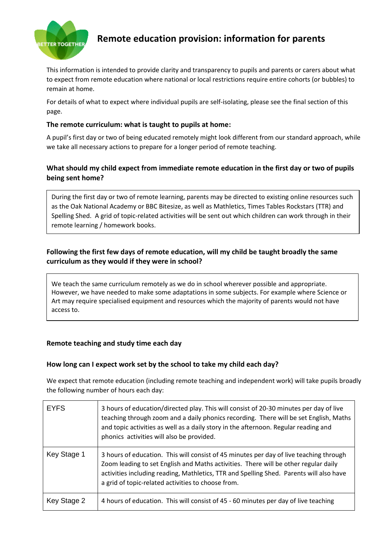

# **Remote education provision: information for parents**

This information is intended to provide clarity and transparency to pupils and parents or carers about what to expect from remote education where national or local restrictions require entire cohorts (or bubbles) to remain at home.

For details of what to expect where individual pupils are self-isolating, please see the final section of this page.

## **The remote curriculum: what is taught to pupils at home:**

A pupil's first day or two of being educated remotely might look different from our standard approach, while we take all necessary actions to prepare for a longer period of remote teaching.

# **What should my child expect from immediate remote education in the first day or two of pupils being sent home?**

During the first day or two of remote learning, parents may be directed to existing online resources such as the Oak National Academy or BBC Bitesize, as well as Mathletics, Times Tables Rockstars (TTR) and Spelling Shed. A grid of topic-related activities will be sent out which children can work through in their remote learning / homework books.

# **Following the first few days of remote education, will my child be taught broadly the same curriculum as they would if they were in school?**

We teach the same curriculum remotely as we do in school wherever possible and appropriate. However, we have needed to make some adaptations in some subjects. For example where Science or Art may require specialised equipment and resources which the majority of parents would not have access to.

## **Remote teaching and study time each day**

#### **How long can I expect work set by the school to take my child each day?**

We expect that remote education (including remote teaching and independent work) will take pupils broadly the following number of hours each day:

| <b>EYFS</b> | 3 hours of education/directed play. This will consist of 20-30 minutes per day of live<br>teaching through zoom and a daily phonics recording. There will be set English, Maths<br>and topic activities as well as a daily story in the afternoon. Regular reading and<br>phonics activities will also be provided.            |
|-------------|--------------------------------------------------------------------------------------------------------------------------------------------------------------------------------------------------------------------------------------------------------------------------------------------------------------------------------|
| Key Stage 1 | 3 hours of education. This will consist of 45 minutes per day of live teaching through<br>Zoom leading to set English and Maths activities. There will be other regular daily<br>activities including reading, Mathletics, TTR and Spelling Shed. Parents will also have<br>a grid of topic-related activities to choose from. |
| Key Stage 2 | 4 hours of education. This will consist of 45 - 60 minutes per day of live teaching                                                                                                                                                                                                                                            |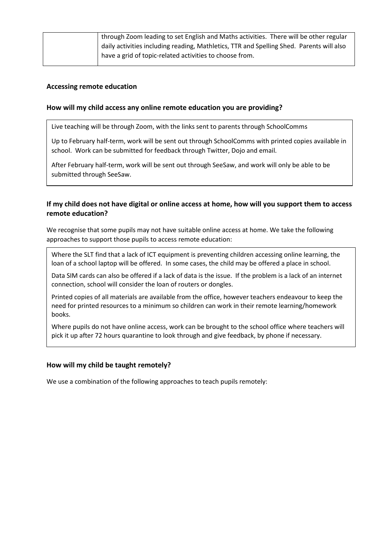| through Zoom leading to set English and Maths activities. There will be other regular    |
|------------------------------------------------------------------------------------------|
| dialy activities including reading, Mathletics, TTR and Spelling Shed. Parents will also |
|                                                                                          |
|                                                                                          |

## **Accessing remote education**

#### **How will my child access any online remote education you are providing?**

Live teaching will be through Zoom, with the links sent to parents through SchoolComms

Up to February half-term, work will be sent out through SchoolComms with printed copies available in school. Work can be submitted for feedback through Twitter, Dojo and email.

After February half-term, work will be sent out through SeeSaw, and work will only be able to be submitted through SeeSaw.

## **If my child does not have digital or online access at home, how will you support them to access remote education?**

We recognise that some pupils may not have suitable online access at home. We take the following approaches to support those pupils to access remote education:

Where the SLT find that a lack of ICT equipment is preventing children accessing online learning, the loan of a school laptop will be offered. In some cases, the child may be offered a place in school.

Data SIM cards can also be offered if a lack of data is the issue. If the problem is a lack of an internet connection, school will consider the loan of routers or dongles.

Printed copies of all materials are available from the office, however teachers endeavour to keep the need for printed resources to a minimum so children can work in their remote learning/homework books.

Where pupils do not have online access, work can be brought to the school office where teachers will pick it up after 72 hours quarantine to look through and give feedback, by phone if necessary.

#### **How will my child be taught remotely?**

We use a combination of the following approaches to teach pupils remotely: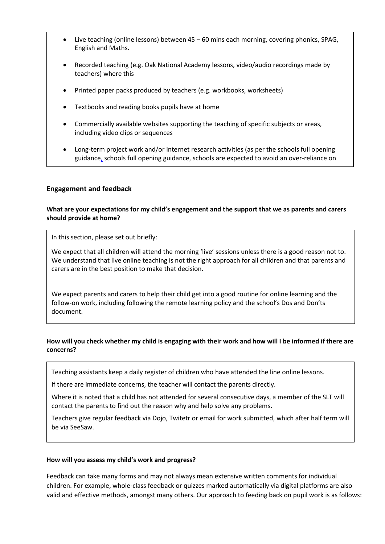- Live teaching (online lessons) between 45 60 mins each morning, covering phonics, SPAG, English and Maths.
- Recorded teaching (e.g. Oak National Academy lessons, video/audio recordings made by teachers) where this
- Printed paper packs produced by teachers (e.g. workbooks, worksheets)
- Textbooks and reading books pupils have at home
- Commercially available websites supporting the teaching of specific subjects or areas, including video clips or sequences
- Long-term project work and/or internet research activities (as per the [schools full opening](https://www.gov.uk/government/publications/actions-for-schools-during-the-coronavirus-outbreak/guidance-for-full-opening-schools#res)  [guidance,](https://www.gov.uk/government/publications/actions-for-schools-during-the-coronavirus-outbreak/guidance-for-full-opening-schools#res) schools full opening guidance, schools are expected to avoid an over-reliance on

#### **Engagement and feedback**

these approaches) and the set

#### **What are your expectations for my child's engagement and the support that we as parents and carers should provide at home?**

In this section, please set out briefly:

We expect that all children will attend the morning 'live' sessions unless there is a good reason not to. We understand that live online teaching is not the right approach for all children and that parents and carers are in the best position to make that decision.

We expect parents and carers to help their child get into a good routine for online learning and the follow-on work, including following the remote learning policy and the school's Dos and Don'ts document.

#### **How will you check whether my child is engaging with their work and how will I be informed if there are concerns?**

Teaching assistants keep a daily register of children who have attended the line online lessons.

If there are immediate concerns, the teacher will contact the parents directly.

Where it is noted that a child has not attended for several consecutive days, a member of the SLT will contact the parents to find out the reason why and help solve any problems.

Teachers give regular feedback via Dojo, Twitetr or email for work submitted, which after half term will be via SeeSaw.

#### **How will you assess my child's work and progress?**

Feedback can take many forms and may not always mean extensive written comments for individual children. For example, whole-class feedback or quizzes marked automatically via digital platforms are also valid and effective methods, amongst many others. Our approach to feeding back on pupil work is as follows: